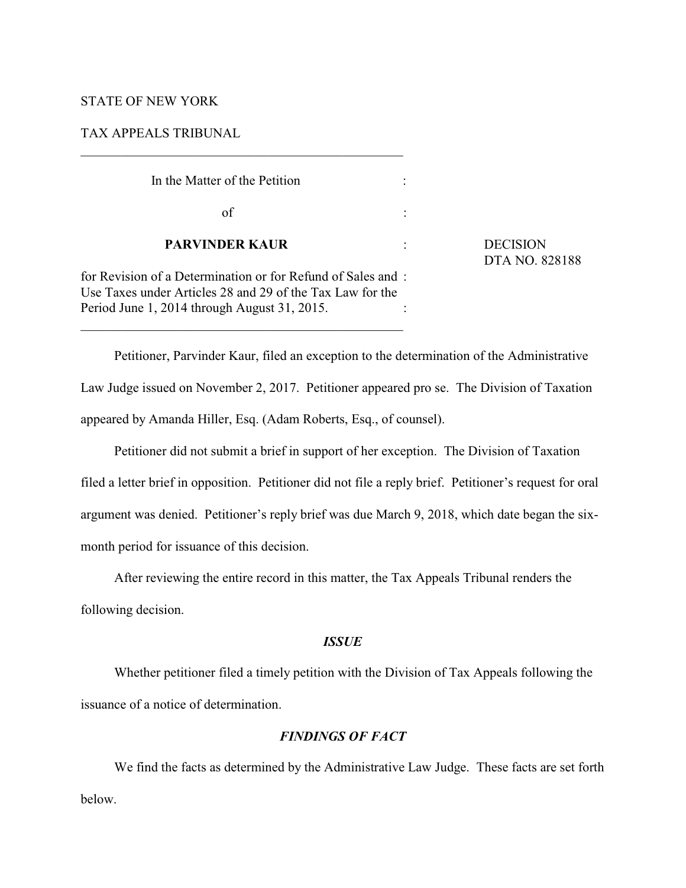#### STATE OF NEW YORK

TAX APPEALS TRIBUNAL

| In the Matter of the Petition                                                                                                                                            |                                          |
|--------------------------------------------------------------------------------------------------------------------------------------------------------------------------|------------------------------------------|
| of                                                                                                                                                                       |                                          |
| <b>PARVINDER KAUR</b>                                                                                                                                                    | <b>DECISION</b><br><b>DTA NO. 828188</b> |
| for Revision of a Determination or for Refund of Sales and:<br>Use Taxes under Articles 28 and 29 of the Tax Law for the<br>Period June 1, 2014 through August 31, 2015. |                                          |

Petitioner, Parvinder Kaur, filed an exception to the determination of the Administrative Law Judge issued on November 2, 2017. Petitioner appeared pro se. The Division of Taxation appeared by Amanda Hiller, Esq. (Adam Roberts, Esq., of counsel).

Petitioner did not submit a brief in support of her exception. The Division of Taxation filed a letter brief in opposition. Petitioner did not file a reply brief. Petitioner's request for oral argument was denied. Petitioner's reply brief was due March 9, 2018, which date began the sixmonth period for issuance of this decision.

After reviewing the entire record in this matter, the Tax Appeals Tribunal renders the following decision.

## *ISSUE*

Whether petitioner filed a timely petition with the Division of Tax Appeals following the issuance of a notice of determination.

# *FINDINGS OF FACT*

We find the facts as determined by the Administrative Law Judge. These facts are set forth below.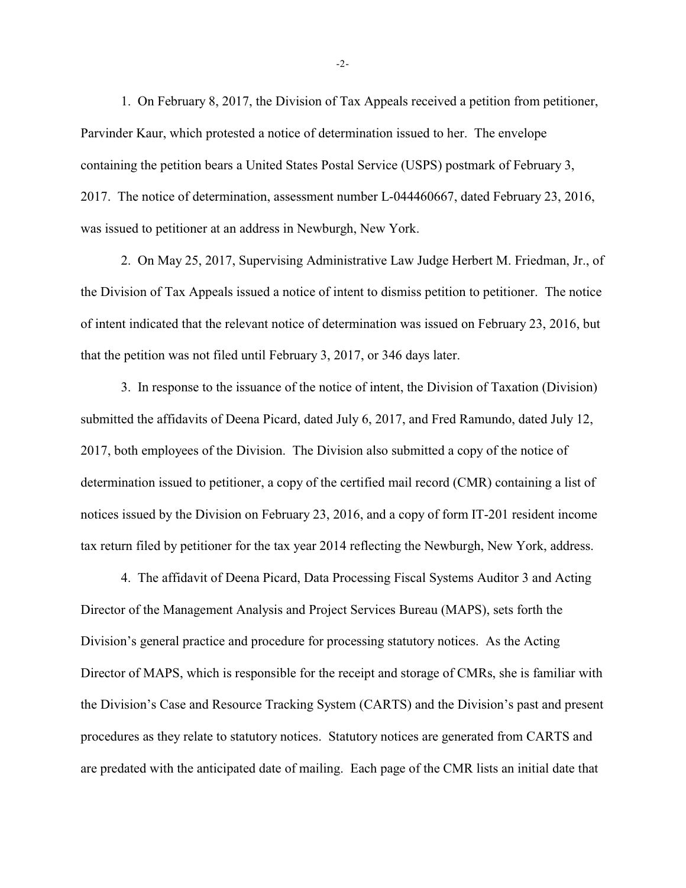1. On February 8, 2017, the Division of Tax Appeals received a petition from petitioner, Parvinder Kaur, which protested a notice of determination issued to her. The envelope containing the petition bears a United States Postal Service (USPS) postmark of February 3, 2017. The notice of determination, assessment number L-044460667, dated February 23, 2016, was issued to petitioner at an address in Newburgh, New York.

2. On May 25, 2017, Supervising Administrative Law Judge Herbert M. Friedman, Jr., of the Division of Tax Appeals issued a notice of intent to dismiss petition to petitioner. The notice of intent indicated that the relevant notice of determination was issued on February 23, 2016, but that the petition was not filed until February 3, 2017, or 346 days later.

3. In response to the issuance of the notice of intent, the Division of Taxation (Division) submitted the affidavits of Deena Picard, dated July 6, 2017, and Fred Ramundo, dated July 12, 2017, both employees of the Division. The Division also submitted a copy of the notice of determination issued to petitioner, a copy of the certified mail record (CMR) containing a list of notices issued by the Division on February 23, 2016, and a copy of form IT-201 resident income tax return filed by petitioner for the tax year 2014 reflecting the Newburgh, New York, address.

4. The affidavit of Deena Picard, Data Processing Fiscal Systems Auditor 3 and Acting Director of the Management Analysis and Project Services Bureau (MAPS), sets forth the Division's general practice and procedure for processing statutory notices. As the Acting Director of MAPS, which is responsible for the receipt and storage of CMRs, she is familiar with the Division's Case and Resource Tracking System (CARTS) and the Division's past and present procedures as they relate to statutory notices. Statutory notices are generated from CARTS and are predated with the anticipated date of mailing. Each page of the CMR lists an initial date that

-2-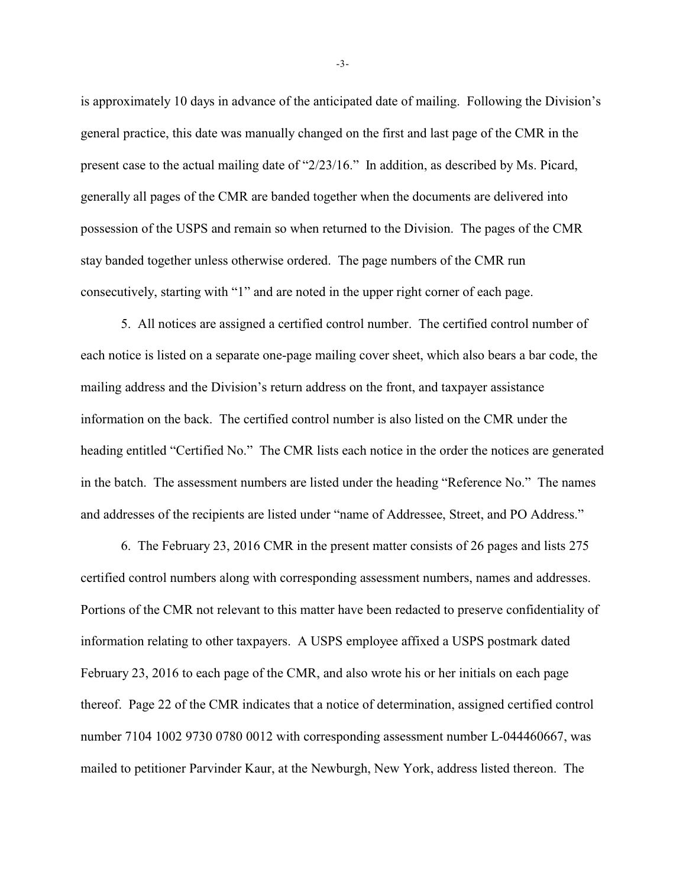is approximately 10 days in advance of the anticipated date of mailing. Following the Division's general practice, this date was manually changed on the first and last page of the CMR in the present case to the actual mailing date of "2/23/16." In addition, as described by Ms. Picard, generally all pages of the CMR are banded together when the documents are delivered into possession of the USPS and remain so when returned to the Division. The pages of the CMR stay banded together unless otherwise ordered. The page numbers of the CMR run consecutively, starting with "1" and are noted in the upper right corner of each page.

5. All notices are assigned a certified control number. The certified control number of each notice is listed on a separate one-page mailing cover sheet, which also bears a bar code, the mailing address and the Division's return address on the front, and taxpayer assistance information on the back. The certified control number is also listed on the CMR under the heading entitled "Certified No." The CMR lists each notice in the order the notices are generated in the batch. The assessment numbers are listed under the heading "Reference No." The names and addresses of the recipients are listed under "name of Addressee, Street, and PO Address."

6. The February 23, 2016 CMR in the present matter consists of 26 pages and lists 275 certified control numbers along with corresponding assessment numbers, names and addresses. Portions of the CMR not relevant to this matter have been redacted to preserve confidentiality of information relating to other taxpayers. A USPS employee affixed a USPS postmark dated February 23, 2016 to each page of the CMR, and also wrote his or her initials on each page thereof. Page 22 of the CMR indicates that a notice of determination, assigned certified control number 7104 1002 9730 0780 0012 with corresponding assessment number L-044460667, was mailed to petitioner Parvinder Kaur, at the Newburgh, New York, address listed thereon. The

-3-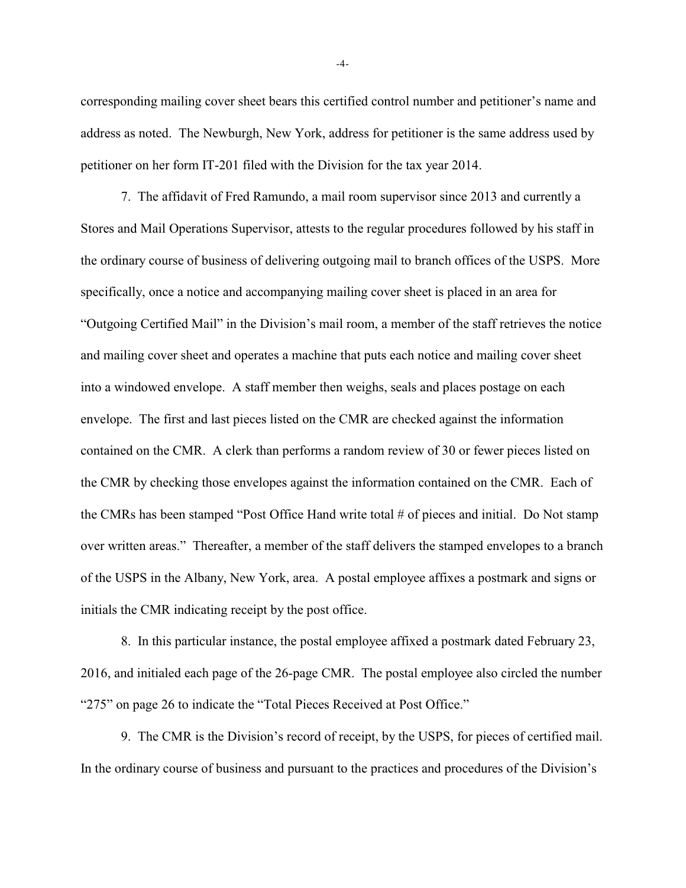corresponding mailing cover sheet bears this certified control number and petitioner's name and address as noted. The Newburgh, New York, address for petitioner is the same address used by petitioner on her form IT-201 filed with the Division for the tax year 2014.

7. The affidavit of Fred Ramundo, a mail room supervisor since 2013 and currently a Stores and Mail Operations Supervisor, attests to the regular procedures followed by his staff in the ordinary course of business of delivering outgoing mail to branch offices of the USPS. More specifically, once a notice and accompanying mailing cover sheet is placed in an area for "Outgoing Certified Mail" in the Division's mail room, a member of the staff retrieves the notice and mailing cover sheet and operates a machine that puts each notice and mailing cover sheet into a windowed envelope. A staff member then weighs, seals and places postage on each envelope. The first and last pieces listed on the CMR are checked against the information contained on the CMR. A clerk than performs a random review of 30 or fewer pieces listed on the CMR by checking those envelopes against the information contained on the CMR. Each of the CMRs has been stamped "Post Office Hand write total # of pieces and initial. Do Not stamp over written areas." Thereafter, a member of the staff delivers the stamped envelopes to a branch of the USPS in the Albany, New York, area. A postal employee affixes a postmark and signs or initials the CMR indicating receipt by the post office.

8. In this particular instance, the postal employee affixed a postmark dated February 23, 2016, and initialed each page of the 26-page CMR. The postal employee also circled the number "275" on page 26 to indicate the "Total Pieces Received at Post Office."

9. The CMR is the Division's record of receipt, by the USPS, for pieces of certified mail. In the ordinary course of business and pursuant to the practices and procedures of the Division's

-4-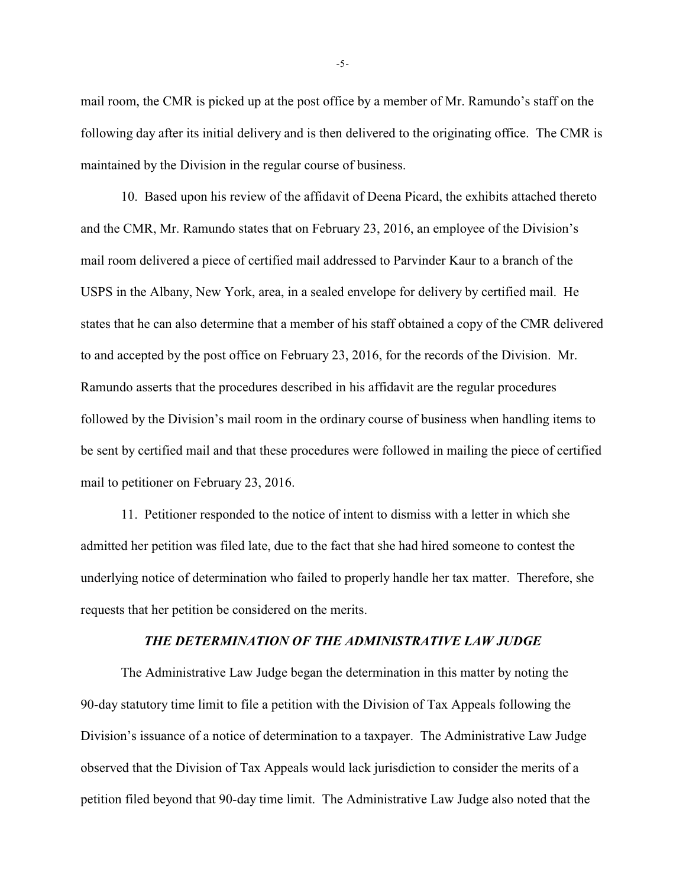mail room, the CMR is picked up at the post office by a member of Mr. Ramundo's staff on the following day after its initial delivery and is then delivered to the originating office. The CMR is maintained by the Division in the regular course of business.

10. Based upon his review of the affidavit of Deena Picard, the exhibits attached thereto and the CMR, Mr. Ramundo states that on February 23, 2016, an employee of the Division's mail room delivered a piece of certified mail addressed to Parvinder Kaur to a branch of the USPS in the Albany, New York, area, in a sealed envelope for delivery by certified mail. He states that he can also determine that a member of his staff obtained a copy of the CMR delivered to and accepted by the post office on February 23, 2016, for the records of the Division. Mr. Ramundo asserts that the procedures described in his affidavit are the regular procedures followed by the Division's mail room in the ordinary course of business when handling items to be sent by certified mail and that these procedures were followed in mailing the piece of certified mail to petitioner on February 23, 2016.

11. Petitioner responded to the notice of intent to dismiss with a letter in which she admitted her petition was filed late, due to the fact that she had hired someone to contest the underlying notice of determination who failed to properly handle her tax matter. Therefore, she requests that her petition be considered on the merits.

### *THE DETERMINATION OF THE ADMINISTRATIVE LAW JUDGE*

The Administrative Law Judge began the determination in this matter by noting the 90-day statutory time limit to file a petition with the Division of Tax Appeals following the Division's issuance of a notice of determination to a taxpayer. The Administrative Law Judge observed that the Division of Tax Appeals would lack jurisdiction to consider the merits of a petition filed beyond that 90-day time limit. The Administrative Law Judge also noted that the

-5-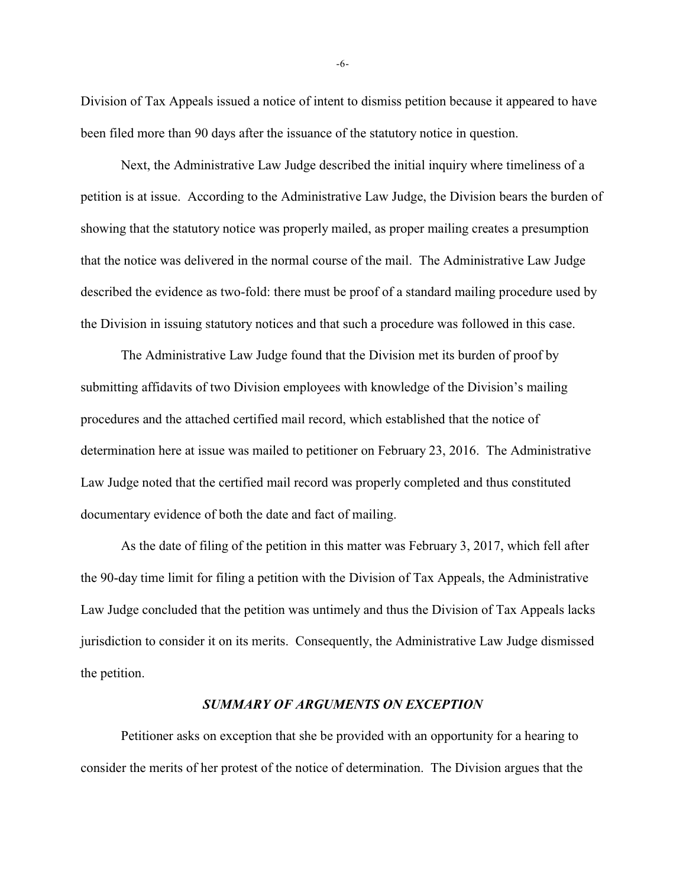Division of Tax Appeals issued a notice of intent to dismiss petition because it appeared to have been filed more than 90 days after the issuance of the statutory notice in question.

Next, the Administrative Law Judge described the initial inquiry where timeliness of a petition is at issue. According to the Administrative Law Judge, the Division bears the burden of showing that the statutory notice was properly mailed, as proper mailing creates a presumption that the notice was delivered in the normal course of the mail. The Administrative Law Judge described the evidence as two-fold: there must be proof of a standard mailing procedure used by the Division in issuing statutory notices and that such a procedure was followed in this case.

The Administrative Law Judge found that the Division met its burden of proof by submitting affidavits of two Division employees with knowledge of the Division's mailing procedures and the attached certified mail record, which established that the notice of determination here at issue was mailed to petitioner on February 23, 2016. The Administrative Law Judge noted that the certified mail record was properly completed and thus constituted documentary evidence of both the date and fact of mailing.

As the date of filing of the petition in this matter was February 3, 2017, which fell after the 90-day time limit for filing a petition with the Division of Tax Appeals, the Administrative Law Judge concluded that the petition was untimely and thus the Division of Tax Appeals lacks jurisdiction to consider it on its merits. Consequently, the Administrative Law Judge dismissed the petition.

#### *SUMMARY OF ARGUMENTS ON EXCEPTION*

Petitioner asks on exception that she be provided with an opportunity for a hearing to consider the merits of her protest of the notice of determination. The Division argues that the

-6-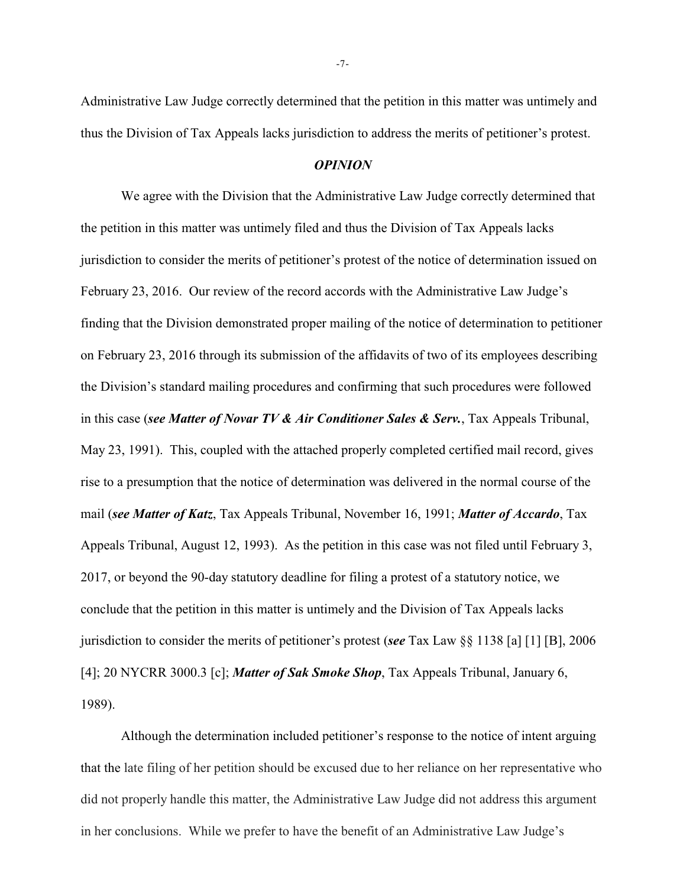Administrative Law Judge correctly determined that the petition in this matter was untimely and thus the Division of Tax Appeals lacks jurisdiction to address the merits of petitioner's protest.

#### *OPINION*

We agree with the Division that the Administrative Law Judge correctly determined that the petition in this matter was untimely filed and thus the Division of Tax Appeals lacks jurisdiction to consider the merits of petitioner's protest of the notice of determination issued on February 23, 2016. Our review of the record accords with the Administrative Law Judge's finding that the Division demonstrated proper mailing of the notice of determination to petitioner on February 23, 2016 through its submission of the affidavits of two of its employees describing the Division's standard mailing procedures and confirming that such procedures were followed in this case (*see Matter of Novar TV & Air Conditioner Sales & Serv.*, Tax Appeals Tribunal, May 23, 1991). This, coupled with the attached properly completed certified mail record, gives rise to a presumption that the notice of determination was delivered in the normal course of the mail (*see Matter of Katz*, Tax Appeals Tribunal, November 16, 1991; *Matter of Accardo*, Tax Appeals Tribunal, August 12, 1993). As the petition in this case was not filed until February 3, 2017, or beyond the 90-day statutory deadline for filing a protest of a statutory notice, we conclude that the petition in this matter is untimely and the Division of Tax Appeals lacks jurisdiction to consider the merits of petitioner's protest (*see* Tax Law §§ 1138 [a] [1] [B], 2006 [4]; 20 NYCRR 3000.3 [c]; *Matter of Sak Smoke Shop*, Tax Appeals Tribunal, January 6, 1989).

Although the determination included petitioner's response to the notice of intent arguing that the late filing of her petition should be excused due to her reliance on her representative who did not properly handle this matter, the Administrative Law Judge did not address this argument in her conclusions. While we prefer to have the benefit of an Administrative Law Judge's

-7-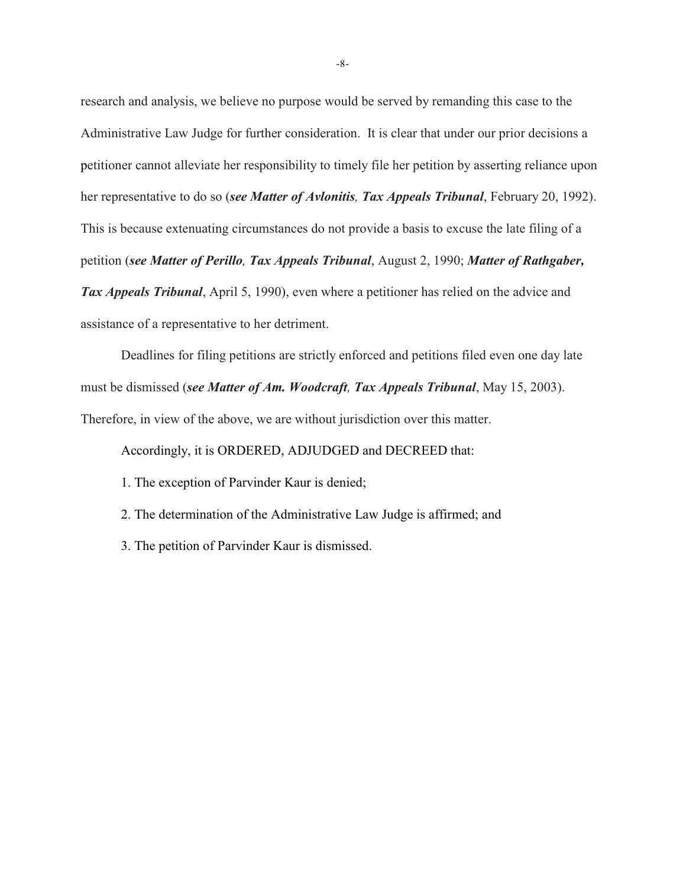research and analysis, we believe no purpose would be served by remanding this case to the Administrative Law Judge for further consideration. It is clear that under our prior decisions a petitioner cannot alleviate her responsibility to timely file her petition by asserting reliance upon her representative to do so (*see Matter of Avlonitis, Tax Appeals Tribunal*, February 20, 1992). This is because extenuating circumstances do not provide a basis to excuse the late filing of a petition (*see Matter of Perillo, Tax Appeals Tribunal*, August 2, 1990; *Matter of Rathgaber, Tax Appeals Tribunal*, April 5, 1990), even where a petitioner has relied on the advice and assistance of a representative to her detriment.

Deadlines for filing petitions are strictly enforced and petitions filed even one day late must be dismissed (*see Matter of Am. Woodcraft, Tax Appeals Tribunal*, May 15, 2003). Therefore, in view of the above, we are without jurisdiction over this matter.

Accordingly, it is ORDERED, ADJUDGED and DECREED that:

1. The exception of Parvinder Kaur is denied;

2. The determination of the Administrative Law Judge is affirmed; and

3. The petition of Parvinder Kaur is dismissed.